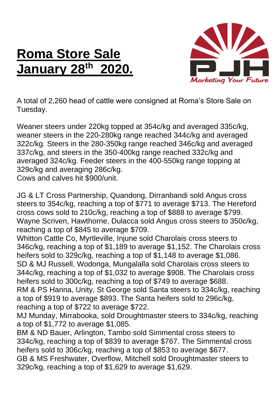## **Roma Store Sale January 28 th 2020.**



A total of 2,260 head of cattle were consigned at Roma's Store Sale on Tuesday.

Weaner steers under 220kg topped at 354c/kg and averaged 335c/kg, weaner steers in the 220-280kg range reached 344c/kg and averaged 322c/kg. Steers in the 280-350kg range reached 346c/kg and averaged 337c/kg, and steers in the 350-400kg range reached 332c/kg and averaged 324c/kg. Feeder steers in the 400-550kg range topping at 329c/kg and averaging 286c/kg.

Cows and calves hit \$900/unit.

JG & LT Cross Partnership, Quandong, Dirranbandi sold Angus cross steers to 354c/kg, reaching a top of \$771 to average \$713. The Hereford cross cows sold to 210c/kg, reaching a top of \$888 to average \$799. Wayne Scriven, Hawthorne, Dulacca sold Angus cross steers to 350c/kg, reaching a top of \$845 to average \$709.

Whitton Cattle Co, Myrtleville, Injune sold Charolais cross steers to 346c/kg, reaching a top of \$1,189 to average \$1,152. The Charolais cross heifers sold to 329c/kg, reaching a top of \$1,148 to average \$1,086. SD & MJ Russell, Wodonga, Mungalalla sold Charolais cross steers to 344c/kg, reaching a top of \$1,032 to average \$908. The Charolais cross heifers sold to 300c/kg, reaching a top of \$749 to average \$688. RM & PS Hanna, Unity, St George sold Santa steers to 334c/kg, reaching a top of \$919 to average \$893. The Santa heifers sold to 296c/kg,

reaching a top of \$722 to average \$722.

MJ Munday, Mirrabooka, sold Droughtmaster steers to 334c/kg, reaching a top of \$1,772 to average \$1,085.

BM & ND Bauer, Arlington, Tambo sold Simmental cross steers to 334c/kg, reaching a top of \$839 to average \$767. The Simmental cross heifers sold to 306c/kg, reaching a top of \$853 to average \$677. GB & MS Freshwater, Overflow, Mitchell sold Droughtmaster steers to 329c/kg, reaching a top of \$1,629 to average \$1,629.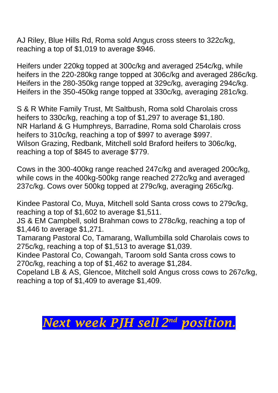AJ Riley, Blue Hills Rd, Roma sold Angus cross steers to 322c/kg, reaching a top of \$1,019 to average \$946.

Heifers under 220kg topped at 300c/kg and averaged 254c/kg, while heifers in the 220-280kg range topped at 306c/kg and averaged 286c/kg. Heifers in the 280-350kg range topped at 329c/kg, averaging 294c/kg. Heifers in the 350-450kg range topped at 330c/kg, averaging 281c/kg.

S & R White Family Trust, Mt Saltbush, Roma sold Charolais cross heifers to 330c/kg, reaching a top of \$1,297 to average \$1,180. NR Harland & G Humphreys, Barradine, Roma sold Charolais cross heifers to 310c/kg, reaching a top of \$997 to average \$997. Wilson Grazing, Redbank, Mitchell sold Braford heifers to 306c/kg, reaching a top of \$845 to average \$779.

Cows in the 300-400kg range reached 247c/kg and averaged 200c/kg, while cows in the 400kg-500kg range reached 272c/kg and averaged 237c/kg. Cows over 500kg topped at 279c/kg, averaging 265c/kg.

Kindee Pastoral Co, Muya, Mitchell sold Santa cross cows to 279c/kg, reaching a top of \$1,602 to average \$1,511.

JS & EM Campbell, sold Brahman cows to 278c/kg, reaching a top of \$1,446 to average \$1,271.

Tamarang Pastoral Co, Tamarang, Wallumbilla sold Charolais cows to 275c/kg, reaching a top of \$1,513 to average \$1,039.

Kindee Pastoral Co, Cowangah, Taroom sold Santa cross cows to 270c/kg, reaching a top of \$1,462 to average \$1,284.

Copeland LB & AS, Glencoe, Mitchell sold Angus cross cows to 267c/kg, reaching a top of \$1,409 to average \$1,409.

## *Next week PJH sell 2 nd position.*